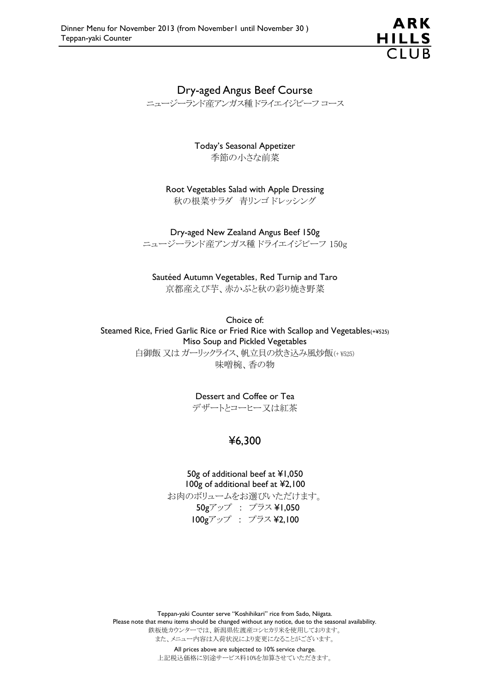

# Dry-aged Angus Beef Course

ニュージーランド産アンガス種 ドライエイジビーフ コース

Today's Seasonal Appetizer 季節の小さな前菜

Root Vegetables Salad with Apple Dressing 秋の根菜サラダ 青リンゴ ドレッシング

Dry-aged New Zealand Angus Beef 150g ニュージーランド産アンガス種 ドライエイジビーフ 150g

Sautéed Autumn Vegetables, Red Turnip and Taro 京都産えび芋、赤かぶと秋の彩り焼き野菜

Choice of: Steamed Rice, Fried Garlic Rice or Fried Rice with Scallop and Vegetables(+¥525) Miso Soup and Pickled Vegetables 白御飯 又は ガーリックライス、帆立貝の炊き込み風炒飯(+ ¥525) 味噌椀、香の物

Dessert and Coffee or Tea

デザートとコーヒー又は紅茶

# ¥6,300

50g of additional beef at ¥1,050 100g of additional beef at ¥2,100 お肉のボリュームをお選びいただけます。 50gアップ : プラス ¥1,050 100gアップ : プラス ¥2,100

Teppan-yaki Counter serve "Koshihikari" rice from Sado, Niigata. Please note that menu items should be changed without any notice, due to the seasonal availability. 鉄板焼カウンターでは、新潟県佐渡産コシヒカリ米を使用しております。 また、メニュー内容は入荷状況により変更になることがございます。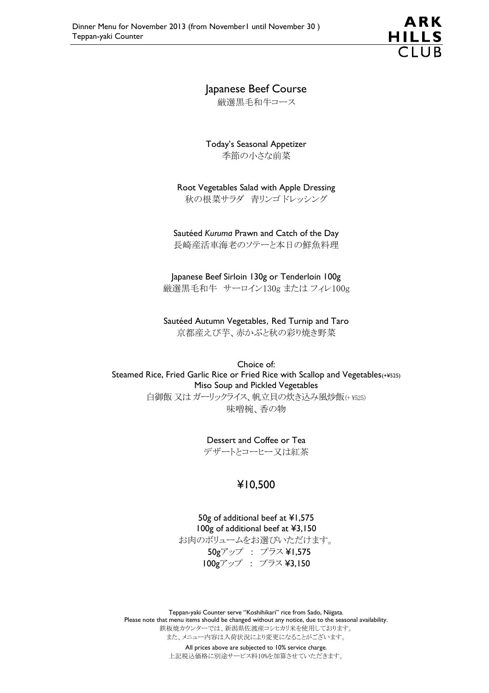ARK **HILLS**  $\overline{C}$ llR

# Japanese Beef Course

厳選黒毛和牛コース

Today's Seasonal Appetizer 季節の小さな前菜

Root Vegetables Salad with Apple Dressing 秋の根菜サラダ 青リンゴ ドレッシング

#### Sautéed *Kuruma* Prawn and Catch of the Day

長崎産活車海老のソテーと本日の鮮魚料理

Japanese Beef Sirloin 130g or Tenderloin 100g 厳選黒毛和牛 サーロイン130g または フィレ100g

Sautéed Autumn Vegetables, Red Turnip and Taro 京都産えび芋、赤かぶと秋の彩り焼き野菜

Choice of: Steamed Rice, Fried Garlic Rice or Fried Rice with Scallop and Vegetables(+¥525) Miso Soup and Pickled Vegetables 白御飯 又は ガーリックライス、帆立貝の炊き込み風炒飯(+ ¥525) 味噌椀、香の物

#### Dessert and Coffee or Tea

デザートとコーヒー又は紅茶

#### ¥10,500

50g of additional beef at ¥1,575 100g of additional beef at ¥3,150 お肉のボリュームをお選びいただけます。 50gアップ : プラス ¥1,575 100gアップ : プラス ¥3,150

Teppan-yaki Counter serve "Koshihikari" rice from Sado, Niigata. Please note that menu items should be changed without any notice, due to the seasonal availability. 鉄板焼カウンターでは、新潟県佐渡産コシヒカリ米を使用しております。 また、メニュー内容は入荷状況により変更になることがございます。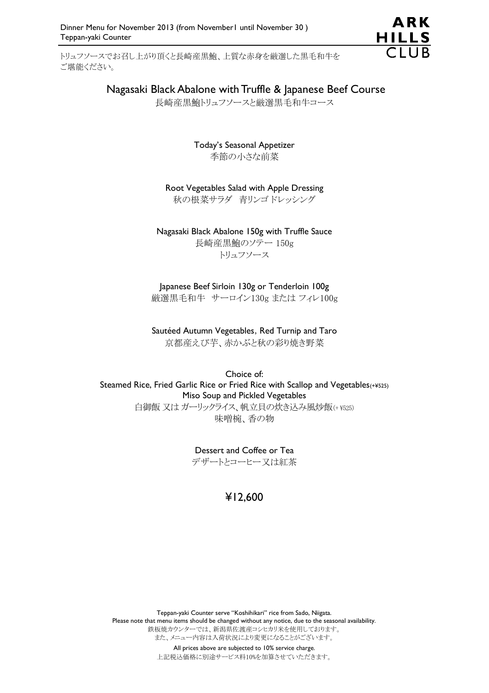トリュフソースでお召し上がり頂くと長崎産黒鮑、上質な赤身を厳選した黒毛和牛を ご堪能ください。



## Nagasaki Black Abalone with Truffle & Japanese Beef Course

長崎産黒鮑トリュフソースと厳選黒毛和牛コース

Today's Seasonal Appetizer 季節の小さな前菜

Root Vegetables Salad with Apple Dressing 秋の根菜サラダ 青リンゴ ドレッシング

Nagasaki Black Abalone 150g with Truffle Sauce 長崎産黒鮑のソテー 150g

トリュフソース

Japanese Beef Sirloin 130g or Tenderloin 100g 厳選黒毛和牛 サーロイン130g または フィレ100g

Sautéed Autumn Vegetables, Red Turnip and Taro 京都産えび芋、赤かぶと秋の彩り焼き野菜

Choice of: Steamed Rice, Fried Garlic Rice or Fried Rice with Scallop and Vegetables(+¥525) Miso Soup and Pickled Vegetables 白御飯 又は ガーリックライス、帆立貝の炊き込み風炒飯(+ ¥525) 味噌椀、香の物

> Dessert and Coffee or Tea デザートとコーヒー又は紅茶

# ¥12,600

Teppan-yaki Counter serve "Koshihikari" rice from Sado, Niigata. Please note that menu items should be changed without any notice, due to the seasonal availability. 鉄板焼カウンターでは、新潟県佐渡産コシヒカリ米を使用しております。 また、メニュー内容は入荷状況により変更になることがございます。 All prices above are subjected to 10% service charge.

上記税込価格に別途サービス料10%を加算させていただきます。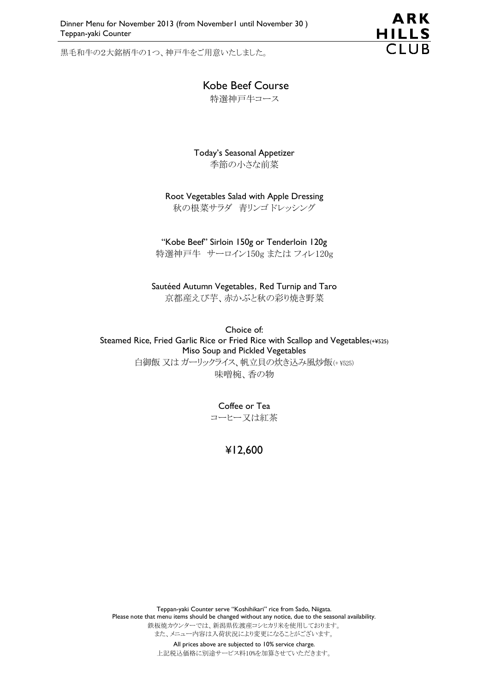黒毛和牛の2大銘柄牛の1つ、神戸牛をご用意いたしました。



#### Kobe Beef Course

特選神戸牛コース

Today's Seasonal Appetizer 季節の小さな前菜

Root Vegetables Salad with Apple Dressing 秋の根菜サラダ 青リンゴ ドレッシング

"Kobe Beef" Sirloin 150g or Tenderloin 120g 特選神戸牛 サーロイン150g または フィレ120g

Sautéed Autumn Vegetables, Red Turnip and Taro 京都産えび芋、赤かぶと秋の彩り焼き野菜

Choice of: Steamed Rice, Fried Garlic Rice or Fried Rice with Scallop and Vegetables(+¥525) Miso Soup and Pickled Vegetables 白御飯 又はガーリックライス、帆立貝の炊き込み風炒飯(+ ¥525) 味噌椀、香の物

> Coffee or Tea コーヒー又は紅茶

#### ¥12,600

Teppan-yaki Counter serve "Koshihikari" rice from Sado, Niigata. Please note that menu items should be changed without any notice, due to the seasonal availability. 鉄板焼カウンターでは、新潟県佐渡産コシヒカリ米を使用しております。 また、メニュー内容は入荷状況により変更になることがございます。 All prices above are subjected to 10% service charge.

上記税込価格に別途サービス料10%を加算させていただきます。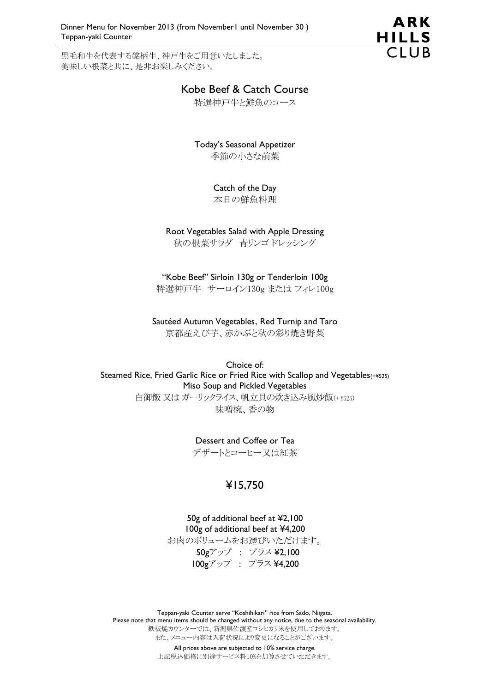Dinner Menu for November 2013 (from November1 until November 30 ) Teppan-yaki Counter

黒毛和牛を代表する銘柄牛、神戸牛をご用意いたしました。 美味しい根菜と共に、是非お楽しみください。



# Kobe Beef & Catch Course

特選神戸牛と鮮魚のコース

Today's Seasonal Appetizer 季節の小さな前菜

Catch of the Day

本日の鮮魚料理

Root Vegetables Salad with Apple Dressing 秋の根菜サラダ 青リンゴ ドレッシング

"Kobe Beef" Sirloin 130g or Tenderloin 100g 特選神戸牛 サーロイン130g または フィレ100g

Sautéed Autumn Vegetables, Red Turnip and Taro 京都産えび芋、赤かぶと秋の彩り焼き野菜

Choice of: Steamed Rice, Fried Garlic Rice or Fried Rice with Scallop and Vegetables(+¥525) Miso Soup and Pickled Vegetables 白御飯 又は ガーリックライス、帆立貝の炊き込み風炒飯(+ ¥525) 味噌椀、香の物

Dessert and Coffee or Tea

デザートとコーヒー又は紅茶

# ¥15,750

50g of additional beef at ¥2,100 100g of additional beef at ¥4,200 お肉のボリュームをお選びいただけます。 50gアップ : プラス ¥2,100 100gアップ : プラス ¥4,200

Teppan-yaki Counter serve "Koshihikari" rice from Sado, Niigata. Please note that menu items should be changed without any notice, due to the seasonal availability. 鉄板焼カウンターでは、新潟県佐渡産コシヒカリ米を使用しております。 また、メニュー内容は入荷状況により変更になることがございます。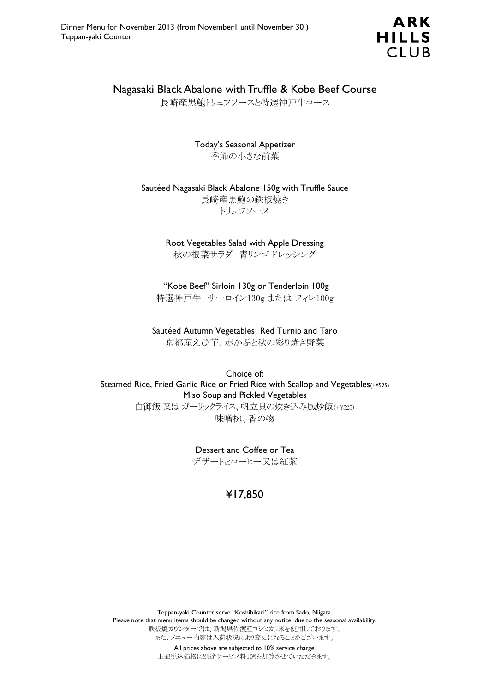

# Nagasaki Black Abalone with Truffle & Kobe Beef Course

長崎産黒鮑トリュフソースと特選神戸牛コース

Today's Seasonal Appetizer 季節の小さな前菜

Sautéed Nagasaki Black Abalone 150g with Truffle Sauce 長崎産黒鮑の鉄板焼き トリュフソース

> Root Vegetables Salad with Apple Dressing 秋の根菜サラダ 青リンゴ ドレッシング

"Kobe Beef" Sirloin 130g or Tenderloin 100g 特選神戸牛 サーロイン130g または フィレ100g

Sautéed Autumn Vegetables, Red Turnip and Taro 京都産えび芋、赤かぶと秋の彩り焼き野菜

Choice of: Steamed Rice, Fried Garlic Rice or Fried Rice with Scallop and Vegetables(+¥525) Miso Soup and Pickled Vegetables 白御飯 又は ガーリックライス、帆立貝の炊き込み風炒飯(+ ¥525) 味噌椀、香の物

> Dessert and Coffee or Tea デザートとコーヒー又は紅茶

# ¥17,850

Teppan-yaki Counter serve "Koshihikari" rice from Sado, Niigata. Please note that menu items should be changed without any notice, due to the seasonal availability. 鉄板焼カウンターでは、新潟県佐渡産コシヒカリ米を使用しております。 また、メニュー内容は入荷状況により変更になることがございます。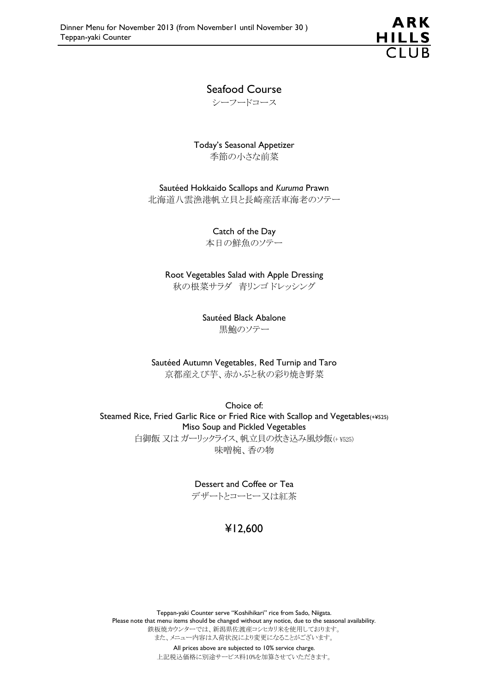

### Seafood Course

シーフードコース

Today's Seasonal Appetizer 季節の小さな前菜

Sautéed Hokkaido Scallops and *Kuruma* Prawn

北海道八雲漁港帆立貝と長崎産活車海老のソテー

Catch of the Day 本日の鮮魚のソテー

Root Vegetables Salad with Apple Dressing 秋の根菜サラダ 青リンゴ ドレッシング

> Sautéed Black Abalone 黒鮑のソテー

Sautéed Autumn Vegetables, Red Turnip and Taro

京都産えび芋、赤かぶと秋の彩り焼き野菜

Choice of: Steamed Rice, Fried Garlic Rice or Fried Rice with Scallop and Vegetables(+¥525) Miso Soup and Pickled Vegetables 白御飯 又は ガーリックライス、帆立貝の炊き込み風炒飯(+ ¥525) 味噌椀、香の物

> Dessert and Coffee or Tea デザートとコーヒー又は紅茶

# ¥12,600

Teppan-yaki Counter serve "Koshihikari" rice from Sado, Niigata. Please note that menu items should be changed without any notice, due to the seasonal availability. 鉄板焼カウンターでは、新潟県佐渡産コシヒカリ米を使用しております。 また、メニュー内容は入荷状況により変更になることがございます。 All prices above are subjected to 10% service charge.

上記税込価格に別途サービス料10%を加算させていただきます。